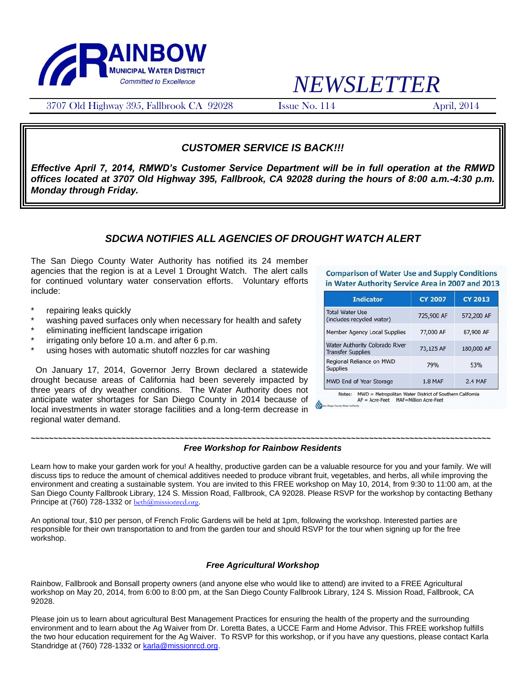

# *NEWSLETTER*

3707 Old Highway 395, Fallbrook CA 92028 Issue No. 114 April, 2014

## *CUSTOMER SERVICE IS BACK!!!*

*Effective April 7, 2014, RMWD's Customer Service Department will be in full operation at the RMWD offices located at 3707 Old Highway 395, Fallbrook, CA 92028 during the hours of 8:00 a.m.-4:30 p.m. Monday through Friday.*

## *SDCWA NOTIFIES ALL AGENCIES OF DROUGHT WATCH ALERT*

The San Diego County Water Authority has notified its 24 member agencies that the region is at a Level 1 Drought Watch. The alert calls for continued voluntary water conservation efforts. Voluntary efforts include:

- repairing leaks quickly
- washing paved surfaces only when necessary for health and safety
- eliminating inefficient landscape irrigation
- $irriqating only before 10 a.m. and after 6 p.m.$
- using hoses with automatic shutoff nozzles for car washing

 On January 17, 2014, Governor Jerry Brown declared a statewide drought because areas of California had been severely impacted by three years of dry weather conditions. The Water Authority does not anticipate water shortages for San Diego County in 2014 because of local investments in water storage facilities and a long-term decrease in regional water demand.

**Comparison of Water Use and Supply Conditions** in Water Authority Service Area in 2007 and 2013

| <b>Indicator</b>                                                  | <b>CY 2007</b> | <b>CY 2013</b> |
|-------------------------------------------------------------------|----------------|----------------|
| <b>Total Water Use</b><br>(includes recycled water)               | 725,900 AF     | 572,200 AF     |
| Member Agency Local Supplies                                      | 77,000 AF      | 87,900 AF      |
| <b>Water Authority Colorado River</b><br><b>Transfer Supplies</b> | 73,125 AF      | 180,000 AF     |
| Regional Reliance on MWD<br><b>Supplies</b>                       | 79%            | 53%            |
| MWD End of Year Storage                                           | <b>1.8 MAF</b> | 2.4 MAF        |

Notes: MWD = Metropolitan Water District of Southern California AF = Acre-Feet MAF=Million Acre-Feet

#### **~~~~~~~~~~~~~~~~~~~~~~~~~~~~~~~~~~~~~~~~~~~~~~~~~~~~~~~~~~~~~~~~~~~~~~~~~~~~~~~~~~~~~~~~~~~~~~~~~~~~~~** *Free Workshop for Rainbow Residents*

Learn how to make your garden work for you! A healthy, productive garden can be a valuable resource for you and your family. We will discuss tips to reduce the amount of chemical additives needed to produce vibrant fruit, vegetables, and herbs, all while improving the environment and creating a sustainable system. You are invited to this FREE workshop on May 10, 2014, from 9:30 to 11:00 am, at the San Diego County Fallbrook Library, 124 S. Mission Road, Fallbrook, CA 92028. Please RSVP for the workshop by contacting Bethany Principe at (760) 728-1332 or [beth@missionrcd.org](mailto:beth@missionrcd.org).

An optional tour, \$10 per person, of French Frolic Gardens will be held at 1pm, following the workshop. Interested parties are responsible for their own transportation to and from the garden tour and should RSVP for the tour when signing up for the free workshop.

#### *Free Agricultural Workshop*

Rainbow, Fallbrook and Bonsall property owners (and anyone else who would like to attend) are invited to a FREE Agricultural workshop on May 20, 2014, from 6:00 to 8:00 pm, at the San Diego County Fallbrook Library, 124 S. Mission Road, Fallbrook, CA 92028.

Please join us to learn about agricultural Best Management Practices for ensuring the health of the property and the surrounding environment and to learn about the Ag Waiver from Dr. Loretta Bates, a UCCE Farm and Home Advisor. This FREE workshop fulfills the two hour education requirement for the Ag Waiver. To RSVP for this workshop, or if you have any questions, please contact Karla Standridge at (760) 728-1332 o[r karla@missionrcd.org.](mailto:karla@missionrcd.org)